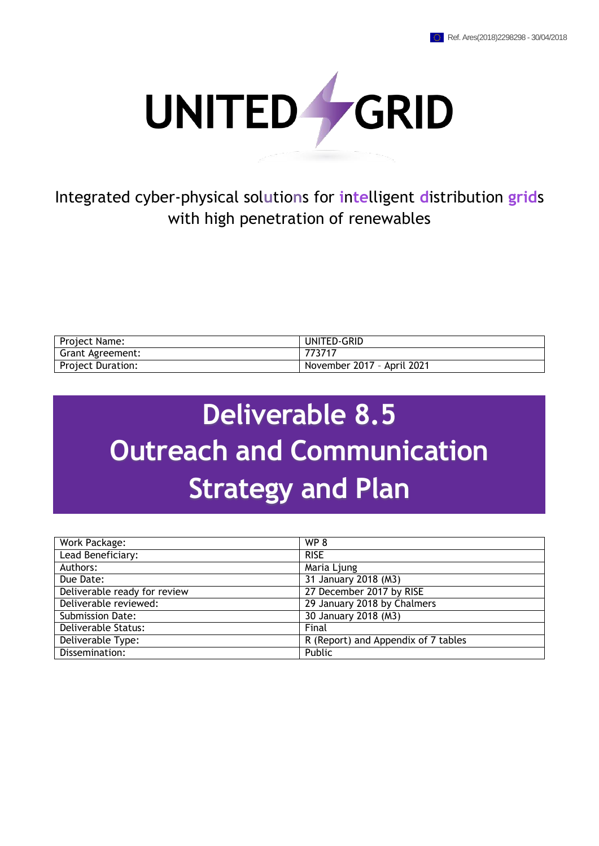

Integrated cyber-physical sol**u**tio**n**s for **i**n**te**lligent **d**istribution **grid**s with high penetration of renewables

| Project Name:            | UNITED-GRID                |
|--------------------------|----------------------------|
| Grant Agreement:         | 773717                     |
| <b>Project Duration:</b> | November 2017 - April 2021 |

# **Deliverable 8.5 Outreach and Communication Strategy and Plan**

| Work Package:                | WP <sub>8</sub>                     |
|------------------------------|-------------------------------------|
| Lead Beneficiary:            | <b>RISE</b>                         |
| Authors:                     | Maria Ljung                         |
| Due Date:                    | 31 January 2018 (M3)                |
| Deliverable ready for review | 27 December 2017 by RISE            |
| Deliverable reviewed:        | 29 January 2018 by Chalmers         |
| <b>Submission Date:</b>      | 30 January 2018 (M3)                |
| Deliverable Status:          | Final                               |
| Deliverable Type:            | R (Report) and Appendix of 7 tables |
| Dissemination:               | Public                              |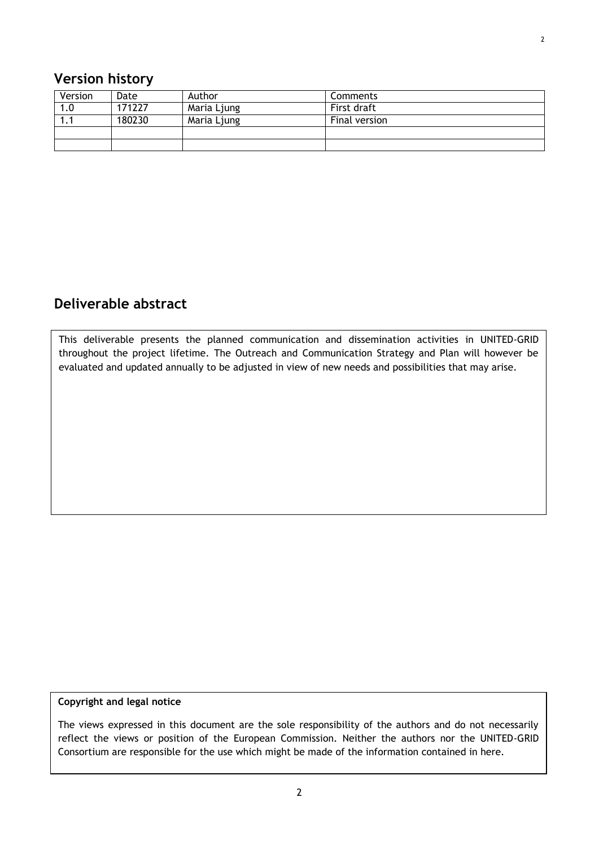<span id="page-1-0"></span>

| Version | Date   | Author      | <b>Comments</b> |
|---------|--------|-------------|-----------------|
| 1.0     | 171227 | Maria Ljung | First draft     |
| ı. ı    | 180230 | Maria Ljung | Final version   |
|         |        |             |                 |
|         |        |             |                 |

## <span id="page-1-1"></span>**Deliverable abstract**

This deliverable presents the planned communication and dissemination activities in UNITED-GRID throughout the project lifetime. The Outreach and Communication Strategy and Plan will however be evaluated and updated annually to be adjusted in view of new needs and possibilities that may arise.

#### **Copyright and legal notice**

The views expressed in this document are the sole responsibility of the authors and do not necessarily reflect the views or position of the European Commission. Neither the authors nor the UNITED-GRID Consortium are responsible for the use which might be made of the information contained in here.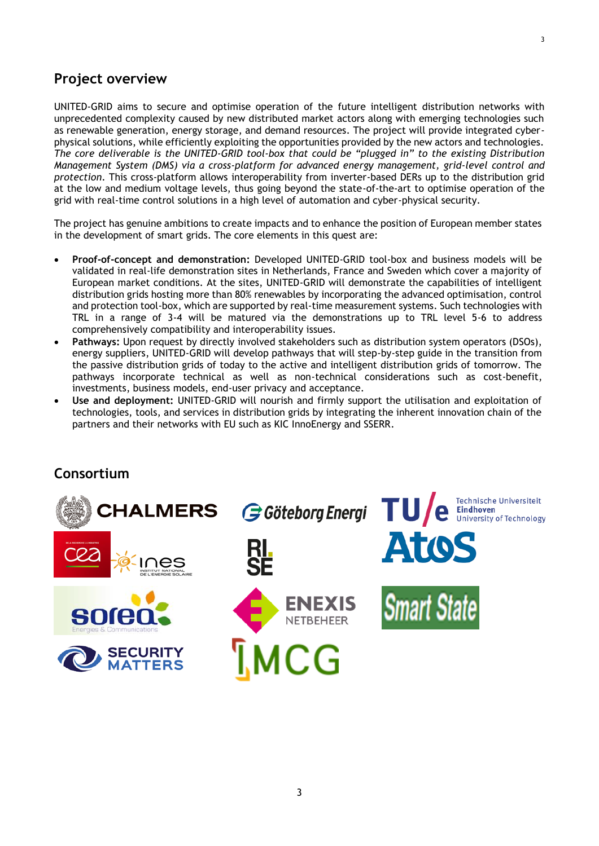#### <span id="page-2-0"></span>**Project overview**

UNITED-GRID aims to secure and optimise operation of the future intelligent distribution networks with unprecedented complexity caused by new distributed market actors along with emerging technologies such as renewable generation, energy storage, and demand resources. The project will provide integrated cyberphysical solutions, while efficiently exploiting the opportunities provided by the new actors and technologies. *The core deliverable is the UNITED-GRID tool-box that could be "plugged in" to the existing Distribution Management System (DMS) via a cross-platform for advanced energy management, grid-level control and protection*. This cross-platform allows interoperability from inverter-based DERs up to the distribution grid at the low and medium voltage levels, thus going beyond the state-of-the-art to optimise operation of the grid with real-time control solutions in a high level of automation and cyber-physical security.

The project has genuine ambitions to create impacts and to enhance the position of European member states in the development of smart grids. The core elements in this quest are:

- **Proof-of-concept and demonstration:** Developed UNITED-GRID tool-box and business models will be validated in real-life demonstration sites in Netherlands, France and Sweden which cover a majority of European market conditions. At the sites, UNITED-GRID will demonstrate the capabilities of intelligent distribution grids hosting more than 80% renewables by incorporating the advanced optimisation, control and protection tool-box, which are supported by real-time measurement systems. Such technologies with TRL in a range of 3-4 will be matured via the demonstrations up to TRL level 5-6 to address comprehensively compatibility and interoperability issues.
- **Pathways:** Upon request by directly involved stakeholders such as distribution system operators (DSOs), energy suppliers, UNITED-GRID will develop pathways that will step-by-step guide in the transition from the passive distribution grids of today to the active and intelligent distribution grids of tomorrow. The pathways incorporate technical as well as non-technical considerations such as cost-benefit, investments, business models, end-user privacy and acceptance.
- **Use and deployment:** UNITED-GRID will nourish and firmly support the utilisation and exploitation of technologies, tools, and services in distribution grids by integrating the inherent innovation chain of the partners and their networks with EU such as KIC InnoEnergy and SSERR.

#### <span id="page-2-1"></span>**Consortium**

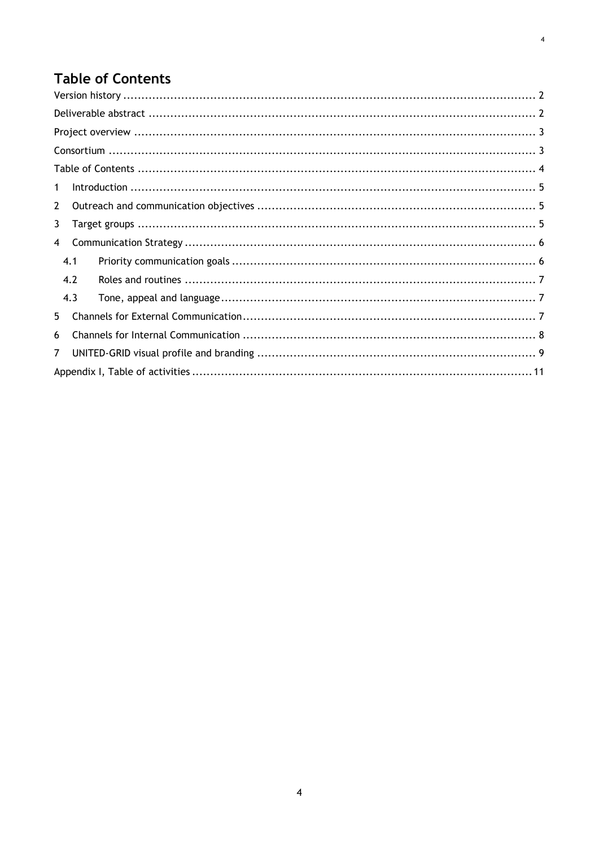# <span id="page-3-0"></span>**Table of Contents**

| 1            |  |  |  |  |  |  |
|--------------|--|--|--|--|--|--|
| $\mathbf{2}$ |  |  |  |  |  |  |
| 3            |  |  |  |  |  |  |
| 4            |  |  |  |  |  |  |
| 4.1          |  |  |  |  |  |  |
| 4.2          |  |  |  |  |  |  |
| 4.3          |  |  |  |  |  |  |
| 5.           |  |  |  |  |  |  |
| 6            |  |  |  |  |  |  |
| 7            |  |  |  |  |  |  |
|              |  |  |  |  |  |  |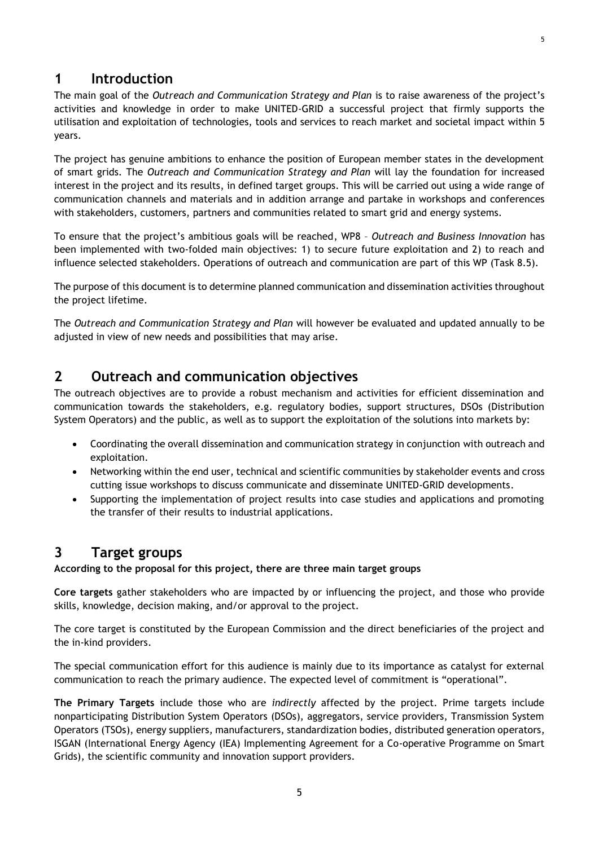#### <span id="page-4-0"></span>**1 Introduction**

The main goal of the *Outreach and Communication Strategy and Plan* is to raise awareness of the project's activities and knowledge in order to make UNITED-GRID a successful project that firmly supports the utilisation and exploitation of technologies, tools and services to reach market and societal impact within 5 years.

The project has genuine ambitions to enhance the position of European member states in the development of smart grids. The *Outreach and Communication Strategy and Plan* will lay the foundation for increased interest in the project and its results, in defined target groups. This will be carried out using a wide range of communication channels and materials and in addition arrange and partake in workshops and conferences with stakeholders, customers, partners and communities related to smart grid and energy systems.

To ensure that the project's ambitious goals will be reached, WP8 – *Outreach and Business Innovation* has been implemented with two-folded main objectives: 1) to secure future exploitation and 2) to reach and influence selected stakeholders. Operations of outreach and communication are part of this WP (Task 8.5).

The purpose of this document is to determine planned communication and dissemination activities throughout the project lifetime.

The *Outreach and Communication Strategy and Plan* will however be evaluated and updated annually to be adjusted in view of new needs and possibilities that may arise.

#### <span id="page-4-1"></span>**2 Outreach and communication objectives**

The outreach objectives are to provide a robust mechanism and activities for efficient dissemination and communication towards the stakeholders, e.g. regulatory bodies, support structures, DSOs (Distribution System Operators) and the public, as well as to support the exploitation of the solutions into markets by:

- Coordinating the overall dissemination and communication strategy in conjunction with outreach and exploitation.
- Networking within the end user, technical and scientific communities by stakeholder events and cross cutting issue workshops to discuss communicate and disseminate UNITED‐GRID developments.
- Supporting the implementation of project results into case studies and applications and promoting the transfer of their results to industrial applications.

#### <span id="page-4-2"></span>**3 Target groups**

**According to the proposal for this project, there are three main target groups**

**Core targets** gather stakeholders who are impacted by or influencing the project, and those who provide skills, knowledge, decision making, and/or approval to the project.

The core target is constituted by the European Commission and the direct beneficiaries of the project and the in‐kind providers.

The special communication effort for this audience is mainly due to its importance as catalyst for external communication to reach the primary audience. The expected level of commitment is "operational".

**The Primary Targets** include those who are *indirectly* affected by the project. Prime targets include nonparticipating Distribution System Operators (DSOs), aggregators, service providers, Transmission System Operators (TSOs), energy suppliers, manufacturers, standardization bodies, distributed generation operators, ISGAN (International Energy Agency (IEA) Implementing Agreement for a Co-operative Programme on Smart Grids), the scientific community and innovation support providers.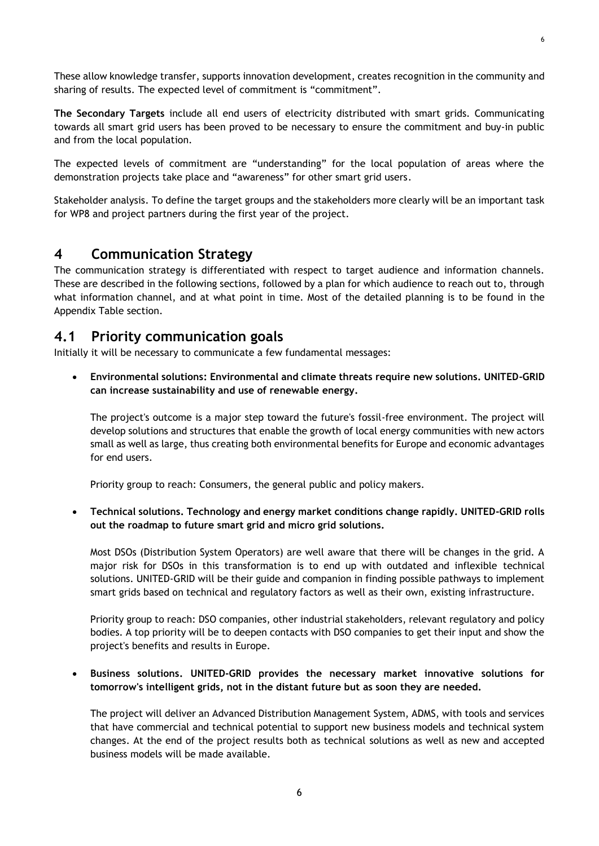6

These allow knowledge transfer, supports innovation development, creates recognition in the community and sharing of results. The expected level of commitment is "commitment".

**The Secondary Targets** include all end users of electricity distributed with smart grids. Communicating towards all smart grid users has been proved to be necessary to ensure the commitment and buy‐in public and from the local population.

The expected levels of commitment are "understanding" for the local population of areas where the demonstration projects take place and "awareness" for other smart grid users.

Stakeholder analysis. To define the target groups and the stakeholders more clearly will be an important task for WP8 and project partners during the first year of the project.

#### <span id="page-5-0"></span>**4 Communication Strategy**

The communication strategy is differentiated with respect to target audience and information channels. These are described in the following sections, followed by a plan for which audience to reach out to, through what information channel, and at what point in time. Most of the detailed planning is to be found in the Appendix Table section.

#### <span id="page-5-1"></span>**4.1 Priority communication goals**

Initially it will be necessary to communicate a few fundamental messages:

 **Environmental solutions: Environmental and climate threats require new solutions. UNITED-GRID can increase sustainability and use of renewable energy.**

The project's outcome is a major step toward the future's fossil-free environment. The project will develop solutions and structures that enable the growth of local energy communities with new actors small as well as large, thus creating both environmental benefits for Europe and economic advantages for end users.

Priority group to reach: Consumers, the general public and policy makers.

 **Technical solutions. Technology and energy market conditions change rapidly. UNITED-GRID rolls out the roadmap to future smart grid and micro grid solutions.**

Most DSOs (Distribution System Operators) are well aware that there will be changes in the grid. A major risk for DSOs in this transformation is to end up with outdated and inflexible technical solutions. UNITED-GRID will be their guide and companion in finding possible pathways to implement smart grids based on technical and regulatory factors as well as their own, existing infrastructure.

Priority group to reach: DSO companies, other industrial stakeholders, relevant regulatory and policy bodies. A top priority will be to deepen contacts with DSO companies to get their input and show the project's benefits and results in Europe.

#### **Business solutions. UNITED-GRID provides the necessary market innovative solutions for tomorrow's intelligent grids, not in the distant future but as soon they are needed.**

The project will deliver an Advanced Distribution Management System, ADMS, with tools and services that have commercial and technical potential to support new business models and technical system changes. At the end of the project results both as technical solutions as well as new and accepted business models will be made available.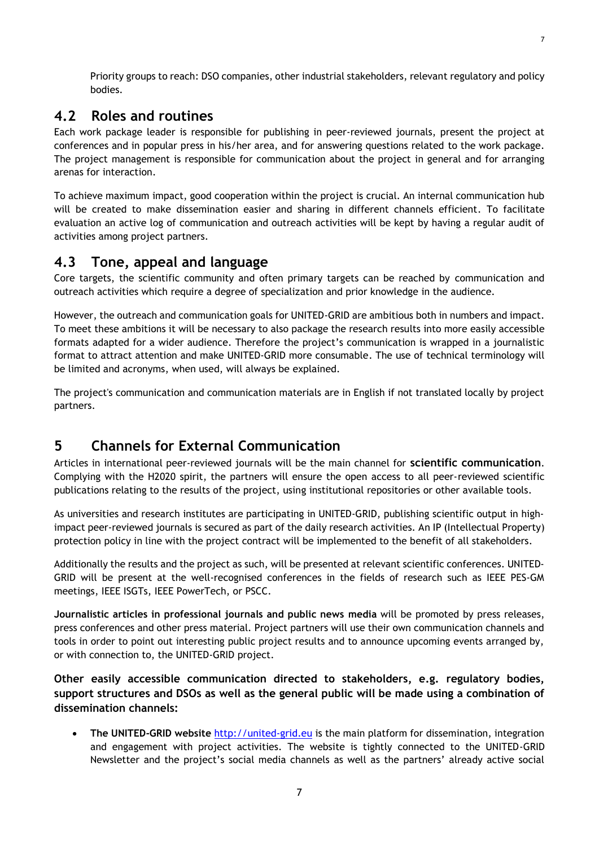Priority groups to reach: DSO companies, other industrial stakeholders, relevant regulatory and policy bodies.

#### <span id="page-6-0"></span>**4.2 Roles and routines**

Each work package leader is responsible for publishing in peer-reviewed journals, present the project at conferences and in popular press in his/her area, and for answering questions related to the work package. The project management is responsible for communication about the project in general and for arranging arenas for interaction.

To achieve maximum impact, good cooperation within the project is crucial. An internal communication hub will be created to make dissemination easier and sharing in different channels efficient. To facilitate evaluation an active log of communication and outreach activities will be kept by having a regular audit of activities among project partners.

#### <span id="page-6-1"></span>**4.3 Tone, appeal and language**

Core targets, the scientific community and often primary targets can be reached by communication and outreach activities which require a degree of specialization and prior knowledge in the audience.

However, the outreach and communication goals for UNITED-GRID are ambitious both in numbers and impact. To meet these ambitions it will be necessary to also package the research results into more easily accessible formats adapted for a wider audience. Therefore the project's communication is wrapped in a journalistic format to attract attention and make UNITED‐GRID more consumable. The use of technical terminology will be limited and acronyms, when used, will always be explained.

The project's communication and communication materials are in English if not translated locally by project partners.

#### <span id="page-6-2"></span>**5 Channels for External Communication**

Articles in international peer-reviewed journals will be the main channel for **scientific communication**. Complying with the H2020 spirit, the partners will ensure the open access to all peer‐reviewed scientific publications relating to the results of the project, using institutional repositories or other available tools.

As universities and research institutes are participating in UNITED‐GRID, publishing scientific output in high‐ impact peer‐reviewed journals is secured as part of the daily research activities. An IP (Intellectual Property) protection policy in line with the project contract will be implemented to the benefit of all stakeholders.

Additionally the results and the project as such, will be presented at relevant scientific conferences. UNITED‐ GRID will be present at the well-recognised conferences in the fields of research such as IEEE PES-GM meetings, IEEE ISGTs, IEEE PowerTech, or PSCC.

**Journalistic articles in professional journals and public news media** will be promoted by press releases, press conferences and other press material. Project partners will use their own communication channels and tools in order to point out interesting public project results and to announce upcoming events arranged by, or with connection to, the UNITED-GRID project.

**Other easily accessible communication directed to stakeholders, e.g. regulatory bodies, support structures and DSOs as well as the general public will be made using a combination of dissemination channels:**

 **The UNITED-GRID website** [http://united-grid.eu](http://united-grid.eu/) is the main platform for dissemination, integration and engagement with project activities. The website is tightly connected to the UNITED-GRID Newsletter and the project's social media channels as well as the partners' already active social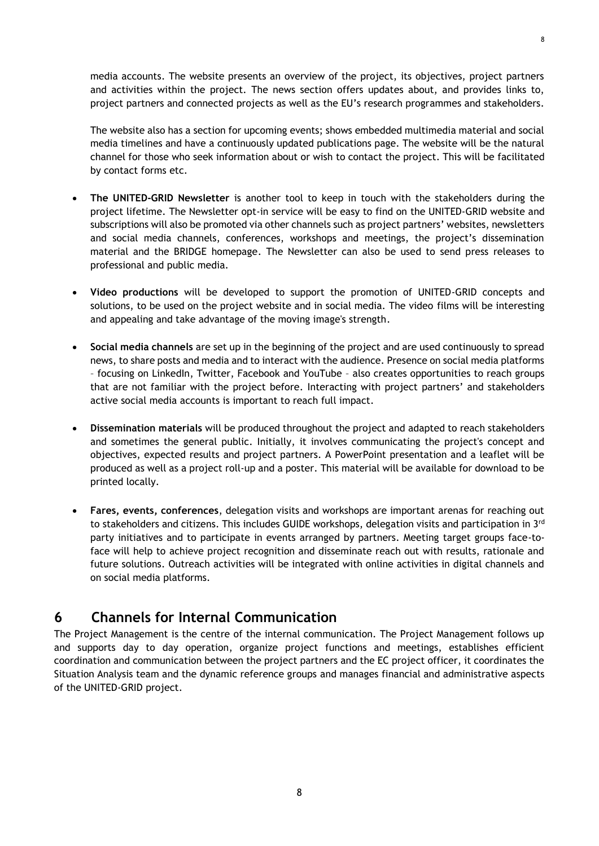media accounts. The website presents an overview of the project, its objectives, project partners and activities within the project. The news section offers updates about, and provides links to, project partners and connected projects as well as the EU's research programmes and stakeholders.

The website also has a section for upcoming events; shows embedded multimedia material and social media timelines and have a continuously updated publications page. The website will be the natural channel for those who seek information about or wish to contact the project. This will be facilitated by contact forms etc.

- **The UNITED-GRID Newsletter** is another tool to keep in touch with the stakeholders during the project lifetime. The Newsletter opt-in service will be easy to find on the UNITED-GRID website and subscriptions will also be promoted via other channels such as project partners' websites, newsletters and social media channels, conferences, workshops and meetings, the project's dissemination material and the BRIDGE homepage. The Newsletter can also be used to send press releases to professional and public media.
- **Video productions** will be developed to support the promotion of UNITED-GRID concepts and solutions, to be used on the project website and in social media. The video films will be interesting and appealing and take advantage of the moving image's strength.
- **Social media channels** are set up in the beginning of the project and are used continuously to spread news, to share posts and media and to interact with the audience. Presence on social media platforms – focusing on LinkedIn, Twitter, Facebook and YouTube – also creates opportunities to reach groups that are not familiar with the project before. Interacting with project partners' and stakeholders active social media accounts is important to reach full impact.
- **Dissemination materials** will be produced throughout the project and adapted to reach stakeholders and sometimes the general public. Initially, it involves communicating the project's concept and objectives, expected results and project partners. A PowerPoint presentation and a leaflet will be produced as well as a project roll-up and a poster. This material will be available for download to be printed locally.
- **Fares, events, conferences**, delegation visits and workshops are important arenas for reaching out to stakeholders and citizens. This includes GUIDE workshops, delegation visits and participation in 3<sup>rd</sup> party initiatives and to participate in events arranged by partners. Meeting target groups face-toface will help to achieve project recognition and disseminate reach out with results, rationale and future solutions. Outreach activities will be integrated with online activities in digital channels and on social media platforms.

## <span id="page-7-0"></span>**6 Channels for Internal Communication**

The Project Management is the centre of the internal communication. The Project Management follows up and supports day to day operation, organize project functions and meetings, establishes efficient coordination and communication between the project partners and the EC project officer, it coordinates the Situation Analysis team and the dynamic reference groups and manages financial and administrative aspects of the UNITED-GRID project.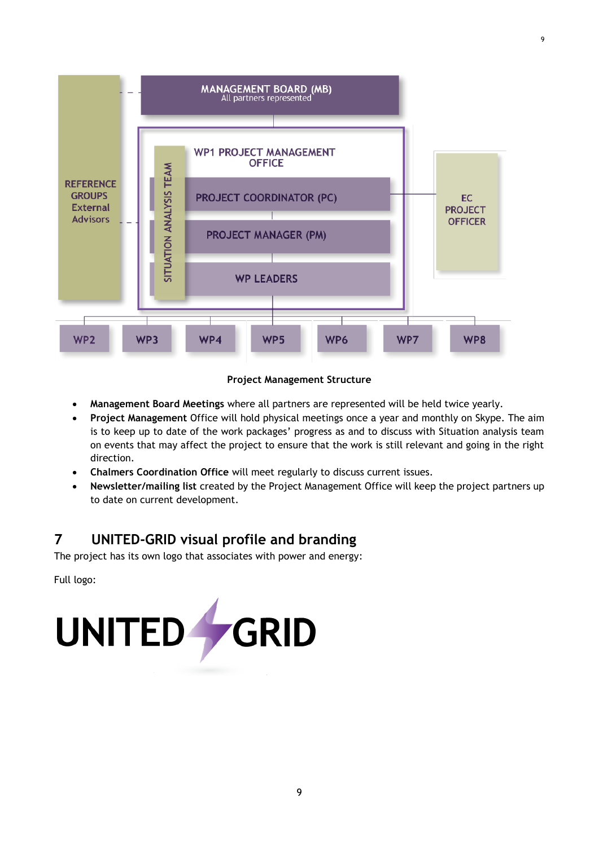

#### **Project Management Structure**

- **Management Board Meetings** where all partners are represented will be held twice yearly.
- **Project Management** Office will hold physical meetings once a year and monthly on Skype. The aim is to keep up to date of the work packages' progress as and to discuss with Situation analysis team on events that may affect the project to ensure that the work is still relevant and going in the right direction.
- **Chalmers Coordination Office** will meet regularly to discuss current issues.
- **Newsletter/mailing list** created by the Project Management Office will keep the project partners up to date on current development.

# <span id="page-8-0"></span>**7 UNITED-GRID visual profile and branding**

The project has its own logo that associates with power and energy:

Full logo:

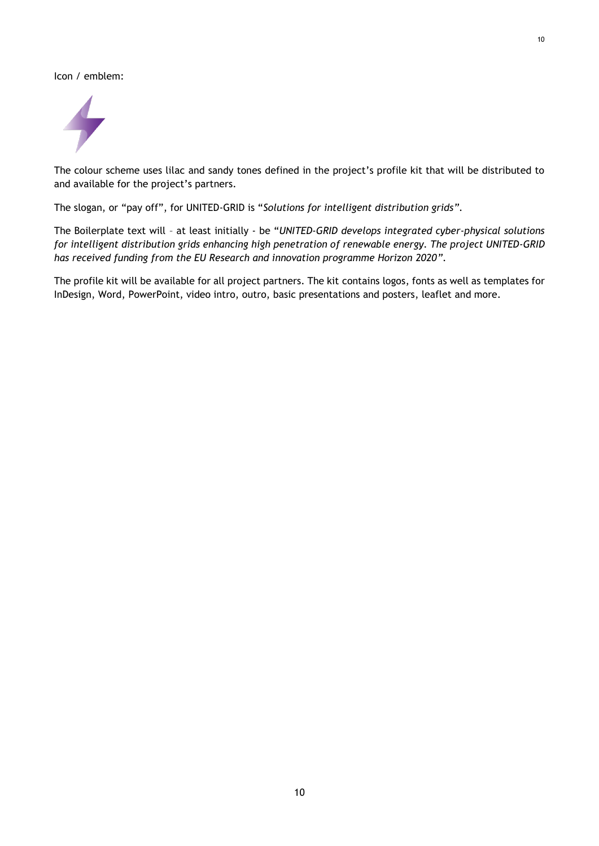Icon / emblem:



The colour scheme uses lilac and sandy tones defined in the project's profile kit that will be distributed to and available for the project's partners.

The slogan, or "pay off", for UNITED-GRID is "*Solutions for intelligent distribution grids"*.

The Boilerplate text will – at least initially - be "*UNITED-GRID develops integrated cyber-physical solutions for intelligent distribution grids enhancing high penetration of renewable energy. The project UNITED-GRID has received funding from the EU Research and innovation programme Horizon 2020"*.

The profile kit will be available for all project partners. The kit contains logos, fonts as well as templates for InDesign, Word, PowerPoint, video intro, outro, basic presentations and posters, leaflet and more.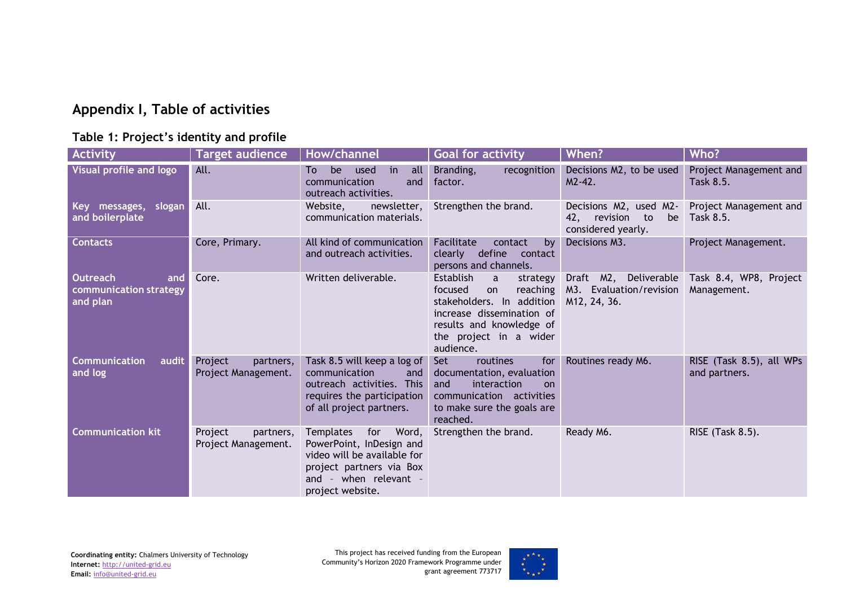# **Appendix I, Table of activities**

#### **Table 1: Project's identity and profile**

<span id="page-10-0"></span>

| <b>Activity</b>                                              | <b>Target audience</b>                      | How/channel                                                                                                                                                   | <b>Goal for activity</b>                                                                                                                                                 | When?                                                                     | Who?                                      |
|--------------------------------------------------------------|---------------------------------------------|---------------------------------------------------------------------------------------------------------------------------------------------------------------|--------------------------------------------------------------------------------------------------------------------------------------------------------------------------|---------------------------------------------------------------------------|-------------------------------------------|
| Visual profile and logo                                      | All.                                        | all<br>be<br>To<br>used<br>in<br>communication<br>and<br>outreach activities.                                                                                 | recognition<br>Branding,<br>factor.                                                                                                                                      | Decisions M2, to be used<br>$M2-42.$                                      | Project Management and<br>Task 8.5.       |
| Key messages,<br>slogan<br>and boilerplate                   | All.                                        | Website,<br>newsletter,<br>communication materials.                                                                                                           | Strengthen the brand.                                                                                                                                                    | Decisions M2, used M2-<br>42, revision to<br>be<br>considered yearly.     | Project Management and<br>Task 8.5.       |
| <b>Contacts</b>                                              | Core, Primary.                              | All kind of communication<br>and outreach activities.                                                                                                         | Facilitate<br>contact<br>by<br>define<br>clearly<br>contact<br>persons and channels.                                                                                     | Decisions M3.                                                             | Project Management.                       |
| <b>Outreach</b><br>and<br>communication strategy<br>and plan | Core.                                       | Written deliverable.                                                                                                                                          | Establish<br>a<br>strategy<br>focused<br>on<br>stakeholders. In addition<br>increase dissemination of<br>results and knowledge of<br>the project in a wider<br>audience. | Draft M2, Deliverable<br>reaching M3. Evaluation/revision<br>M12, 24, 36. | Task 8.4, WP8, Project<br>Management.     |
| <b>Communication</b><br>audit<br>and log                     | Project<br>partners,<br>Project Management. | Task 8.5 will keep a log of<br>communication<br>and<br>outreach activities. This<br>requires the participation<br>of all project partners.                    | routines<br>Set<br>for<br>documentation, evaluation<br>interaction<br>and<br>on<br>communication activities<br>to make sure the goals are<br>reached.                    | Routines ready M6.                                                        | RISE (Task 8.5), all WPs<br>and partners. |
| <b>Communication kit</b>                                     | Project<br>partners,<br>Project Management. | Templates<br>for<br>Word,<br>PowerPoint, InDesign and<br>video will be available for<br>project partners via Box<br>and - when relevant -<br>project website. | Strengthen the brand.                                                                                                                                                    | Ready M6.                                                                 | RISE (Task 8.5).                          |

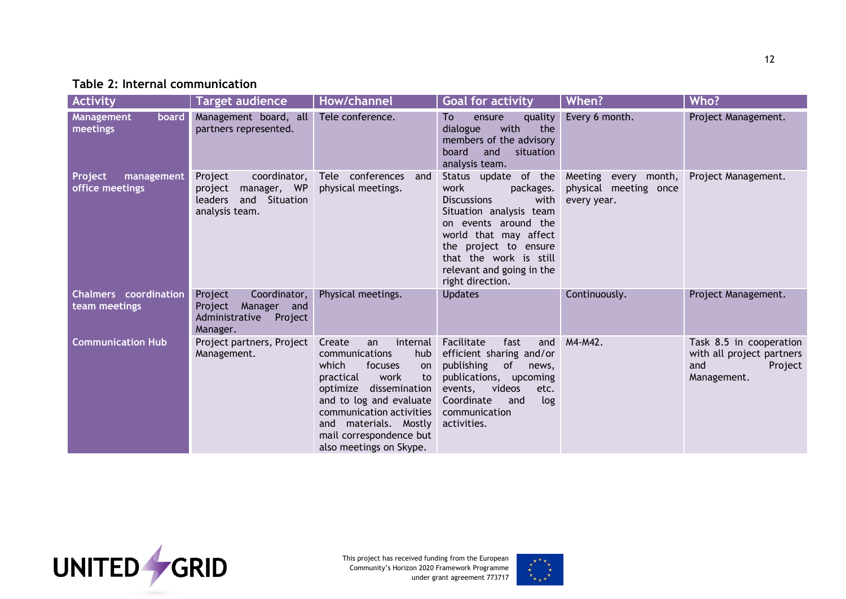#### **Table 2: Internal communication**

| <b>Activity</b>                               | <b>Target audience</b>                                                                          | How/channel                                                                                                                                                                                                                                                               | <b>Goal for activity</b>                                                                                                                                                                                                                                | When?                                                        | Who?                                                                                  |
|-----------------------------------------------|-------------------------------------------------------------------------------------------------|---------------------------------------------------------------------------------------------------------------------------------------------------------------------------------------------------------------------------------------------------------------------------|---------------------------------------------------------------------------------------------------------------------------------------------------------------------------------------------------------------------------------------------------------|--------------------------------------------------------------|---------------------------------------------------------------------------------------|
| Management<br>board<br>meetings               | Management board, all<br>partners represented.                                                  | Tele conference.                                                                                                                                                                                                                                                          | quality<br>To<br>ensure<br>with<br>dialogue<br>the<br>members of the advisory<br>board<br>and<br>situation<br>analysis team.                                                                                                                            | Every 6 month.                                               | Project Management.                                                                   |
| Project<br>management<br>office meetings      | Project<br>coordinator,<br>manager, WP<br>project<br>leaders<br>and Situation<br>analysis team. | Tele conferences<br>and<br>physical meetings.                                                                                                                                                                                                                             | Status update of the<br>work<br>packages.<br><b>Discussions</b><br>with<br>Situation analysis team<br>on events around the<br>world that may affect<br>the project to ensure<br>that the work is still<br>relevant and going in the<br>right direction. | Meeting every month,<br>physical meeting once<br>every year. | Project Management.                                                                   |
| <b>Chalmers</b> coordination<br>team meetings | Coordinator,<br>Project<br>Project<br>Manager and<br>Administrative<br>Project<br>Manager.      | Physical meetings.                                                                                                                                                                                                                                                        | <b>Updates</b>                                                                                                                                                                                                                                          | Continuously.                                                | Project Management.                                                                   |
| <b>Communication Hub</b>                      | Project partners, Project<br>Management.                                                        | internal<br>Create<br>an<br>communications<br>hub<br>which<br>focuses<br>on<br>practical<br>work<br>to<br>optimize dissemination<br>and to log and evaluate<br>communication activities<br>materials. Mostly<br>and<br>mail correspondence but<br>also meetings on Skype. | Facilitate<br>fast<br>and<br>efficient sharing and/or<br>of<br>publishing<br>news,<br>publications, upcoming<br>events,<br>videos<br>etc.<br>Coordinate<br>log<br>and<br>communication<br>activities.                                                   | M4-M42.                                                      | Task 8.5 in cooperation<br>with all project partners<br>and<br>Project<br>Management. |



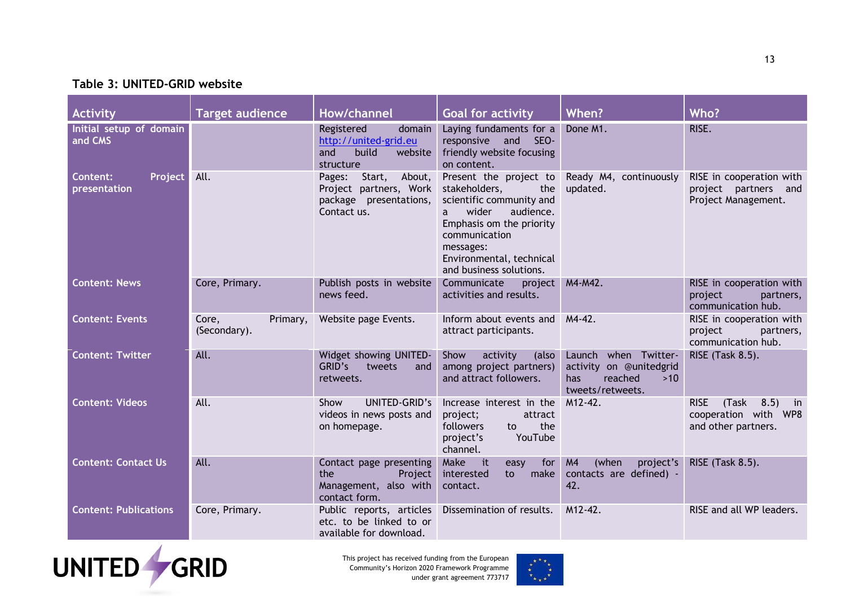#### **Table 3: UNITED-GRID website**

| Activity                                   | <b>Target audience</b>            | How/channel                                                                                   | <b>Goal for activity</b>                                                                                                                                                                                               | When?                                                                                           | Who?                                                                                                   |
|--------------------------------------------|-----------------------------------|-----------------------------------------------------------------------------------------------|------------------------------------------------------------------------------------------------------------------------------------------------------------------------------------------------------------------------|-------------------------------------------------------------------------------------------------|--------------------------------------------------------------------------------------------------------|
| Initial setup of domain<br>and CMS         |                                   | Registered<br>domain<br>http://united-grid.eu<br>build<br>website<br>and<br>structure         | Laying fundaments for a<br>responsive and SEO-<br>friendly website focusing<br>on content.                                                                                                                             | Done M1.                                                                                        | RISE.                                                                                                  |
| Project<br><b>Content:</b><br>presentation | All.                              | About,<br>Pages:<br>Start,<br>Project partners, Work<br>package presentations,<br>Contact us. | Present the project to<br>stakeholders,<br>the<br>scientific community and<br>wider<br>audience.<br>a<br>Emphasis om the priority<br>communication<br>messages:<br>Environmental, technical<br>and business solutions. | Ready M4, continuously<br>updated.                                                              | RISE in cooperation with<br>project partners and<br>Project Management.                                |
| <b>Content: News</b>                       | Core, Primary.                    | Publish posts in website<br>news feed.                                                        | Communicate<br>project<br>activities and results.                                                                                                                                                                      | M4-M42.                                                                                         | RISE in cooperation with<br>project<br>partners,<br>communication hub.                                 |
| <b>Content: Events</b>                     | Core,<br>Primary,<br>(Secondary). | Website page Events.                                                                          | Inform about events and<br>attract participants.                                                                                                                                                                       | $M4-42.$                                                                                        | RISE in cooperation with<br>project<br>partners,<br>communication hub.                                 |
| <b>Content: Twitter</b>                    | All.                              | Widget showing UNITED-<br>GRID's<br>tweets<br>and<br>retweets.                                | Show<br>activity<br>(also<br>among project partners)<br>and attract followers.                                                                                                                                         | when Twitter-<br>Launch<br>activity on @unitedgrid<br>reached<br>has<br>>10<br>tweets/retweets. | RISE (Task 8.5).                                                                                       |
| <b>Content: Videos</b>                     | All.                              | UNITED-GRID's<br>Show<br>videos in news posts and<br>on homepage.                             | Increase interest in the<br>project;<br>attract<br>the<br>followers<br>to<br>YouTube<br>project's<br>channel.                                                                                                          | M12-42.                                                                                         | <b>RISE</b><br>(Task<br>8.5)<br>$\overline{\mathbf{m}}$<br>cooperation with WP8<br>and other partners. |
| <b>Content: Contact Us</b>                 | All.                              | Contact page presenting<br>the<br>Project<br>Management, also with<br>contact form.           | Make<br>it<br>easy<br>for<br>interested<br>make<br>to<br>contact.                                                                                                                                                      | M <sub>4</sub><br>(when<br>project's<br>contacts are defined) -<br>42.                          | RISE (Task 8.5).                                                                                       |
| <b>Content: Publications</b>               | Core, Primary.                    | Public reports, articles<br>etc. to be linked to or<br>available for download.                | Dissemination of results.                                                                                                                                                                                              | M12-42.                                                                                         | RISE and all WP leaders.                                                                               |



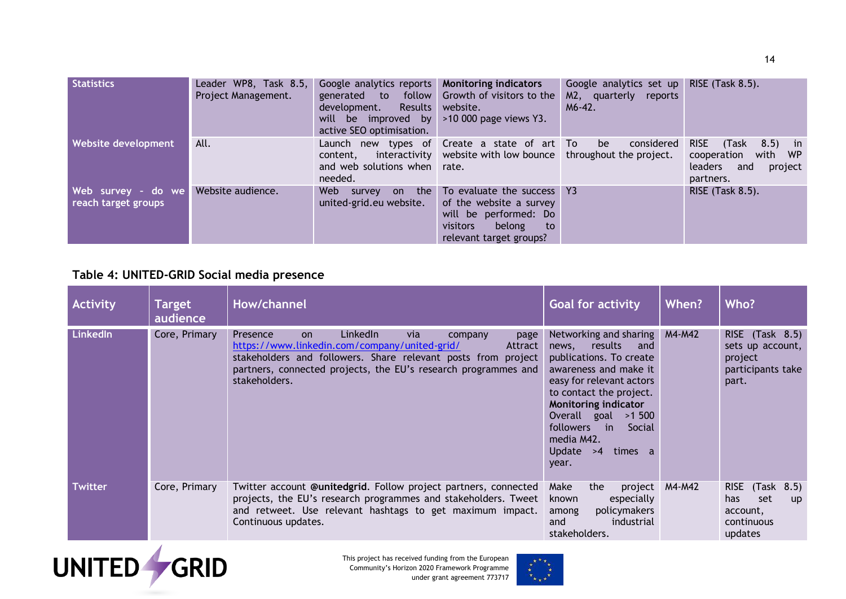| <b>Statistics</b>                          | Leader WP8, Task 8.5,<br>Project Management. | Google analytics reports Monitoring indicators<br>development.<br>will be improved by $>10000$ page views Y3.<br>active SEO optimisation. | generated to follow Growth of visitors to the<br>Results website.                                                                     | Google analytics set up<br>M2, quarterly reports<br>$M6-42.$ | RISE $(Task 8.5)$ .                                                                                 |
|--------------------------------------------|----------------------------------------------|-------------------------------------------------------------------------------------------------------------------------------------------|---------------------------------------------------------------------------------------------------------------------------------------|--------------------------------------------------------------|-----------------------------------------------------------------------------------------------------|
| <b>Website development</b>                 | All.                                         | content,<br>and web solutions when rate.<br>needed.                                                                                       | Launch new types of Create a state of art To<br>interactivity website with low bounce throughout the project.                         | be<br>considered                                             | <b>RISE</b><br>8.5) in<br>(Task<br>with WP<br>cooperation<br>leaders<br>project<br>and<br>partners. |
| Web survey - do we <br>reach target groups | Website audience.                            | the<br>Web<br>on<br>survey<br>united-grid.eu website.                                                                                     | To evaluate the success Y3<br>of the website a survey<br>will be performed: Do<br>visitors<br>belong<br>to<br>relevant target groups? |                                                              | RISE (Task 8.5).                                                                                    |

#### **Table 4: UNITED-GRID Social media presence**

| <b>Activity</b> | <b>Target</b><br>audience | How/channel                                                                                                                                                                                                                                                                 | <b>Goal for activity</b>                                                                                                                                                                                                                                                                                    | When?  | Who?                                                                                                 |
|-----------------|---------------------------|-----------------------------------------------------------------------------------------------------------------------------------------------------------------------------------------------------------------------------------------------------------------------------|-------------------------------------------------------------------------------------------------------------------------------------------------------------------------------------------------------------------------------------------------------------------------------------------------------------|--------|------------------------------------------------------------------------------------------------------|
| LinkedIn        | Core, Primary             | LinkedIn<br>via<br>Presence<br><b>on</b><br>page<br>company<br>https://www.linkedin.com/company/united-grid/<br>Attract<br>stakeholders and followers. Share relevant posts from project<br>partners, connected projects, the EU's research programmes and<br>stakeholders. | Networking and sharing<br>news, results<br>and<br>publications. To create<br>awareness and make it<br>easy for relevant actors<br>to contact the project.<br><b>Monitoring indicator</b><br>Overall goal >1500<br>followers<br>$\blacksquare$ in<br>Social<br>media M42.<br>Update $>4$<br>times a<br>year. | M4-M42 | RISE (Task 8.5)<br>sets up account,<br>project<br>participants take<br>part.                         |
| Twitter         | Core, Primary             | Twitter account @unitedgrid. Follow project partners, connected<br>projects, the EU's research programmes and stakeholders. Tweet<br>and retweet. Use relevant hashtags to get maximum impact.<br>Continuous updates.                                                       | Make<br>the<br>project<br>especially<br>known<br>policymakers<br>among<br>industrial<br>and<br>stakeholders.                                                                                                                                                                                                | M4-M42 | RISE (Task 8.5)<br>set<br>has.<br>$\mathsf{u}\mathsf{p}$<br>account,<br><b>continuous</b><br>updates |



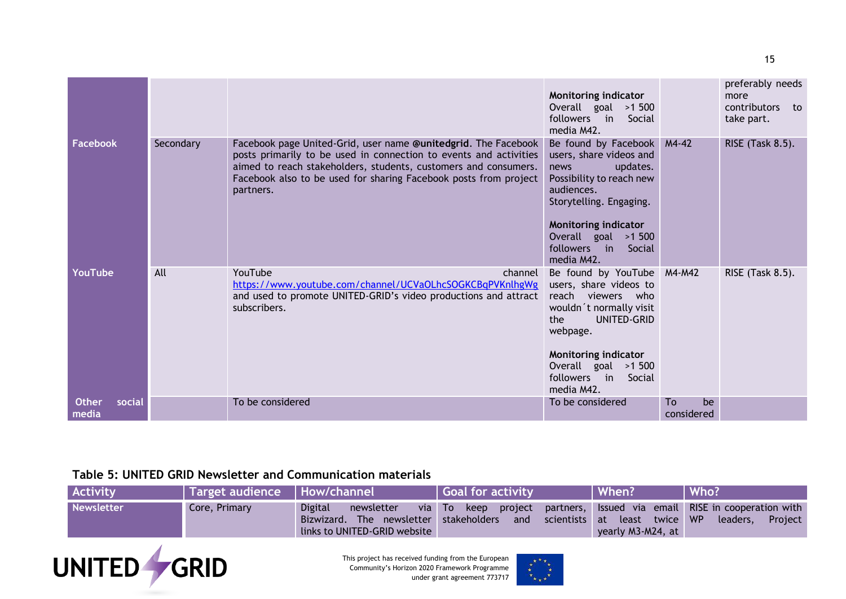|                                 |           |                                                                                                                                                                                                                                                                                         | Monitoring indicator<br>Overall goal >1 500<br>followers in Social<br>media M42.                                                                                                                                                     |                        | preferably needs<br>more<br>contributors to<br>take part. |
|---------------------------------|-----------|-----------------------------------------------------------------------------------------------------------------------------------------------------------------------------------------------------------------------------------------------------------------------------------------|--------------------------------------------------------------------------------------------------------------------------------------------------------------------------------------------------------------------------------------|------------------------|-----------------------------------------------------------|
| <b>Facebook</b>                 | Secondary | Facebook page United-Grid, user name @unitedgrid. The Facebook<br>posts primarily to be used in connection to events and activities<br>aimed to reach stakeholders, students, customers and consumers.<br>Facebook also to be used for sharing Facebook posts from project<br>partners. | Be found by Facebook M4-42<br>users, share videos and<br>updates.<br>news<br>Possibility to reach new<br>audiences.<br>Storytelling. Engaging.<br>Monitoring indicator<br>Overall goal $>1$ 500<br>followers in Social<br>media M42. |                        | RISE (Task 8.5).                                          |
| YouTube                         | All       | YouTube<br>channel<br>https://www.youtube.com/channel/UCVaOLhcSOGKCBqPVKnlhgWg<br>and used to promote UNITED-GRID's video productions and attract<br>subscribers.                                                                                                                       | Be found by YouTube M4-M42<br>users, share videos to<br>reach<br>viewers who<br>wouldn't normally visit<br>UNITED-GRID<br>the<br>webpage.<br>Monitoring indicator<br>Overall goal $>1$ 500<br>followers in<br>Social<br>media M42.   |                        | RISE (Task 8.5).                                          |
| <b>Other</b><br>social<br>media |           | To be considered                                                                                                                                                                                                                                                                        | To be considered                                                                                                                                                                                                                     | To<br>be<br>considered |                                                           |

#### **Table 5: UNITED GRID Newsletter and Communication materials**

| <b>Activity</b>   | Target audience   How/channel |                                                              | Goal for activity                                                                                                                                           | When?             | Who?    |
|-------------------|-------------------------------|--------------------------------------------------------------|-------------------------------------------------------------------------------------------------------------------------------------------------------------|-------------------|---------|
| <b>Newsletter</b> | Core, Primary                 | <b>Digital</b><br>newsletter<br>links to UNITED-GRID website | via To keep project partners, Issued via email RISE in cooperation with<br>Bizwizard. The newsletter stakeholders and scientists at least twice WP leaders, | yearly M3-M24, at | Project |



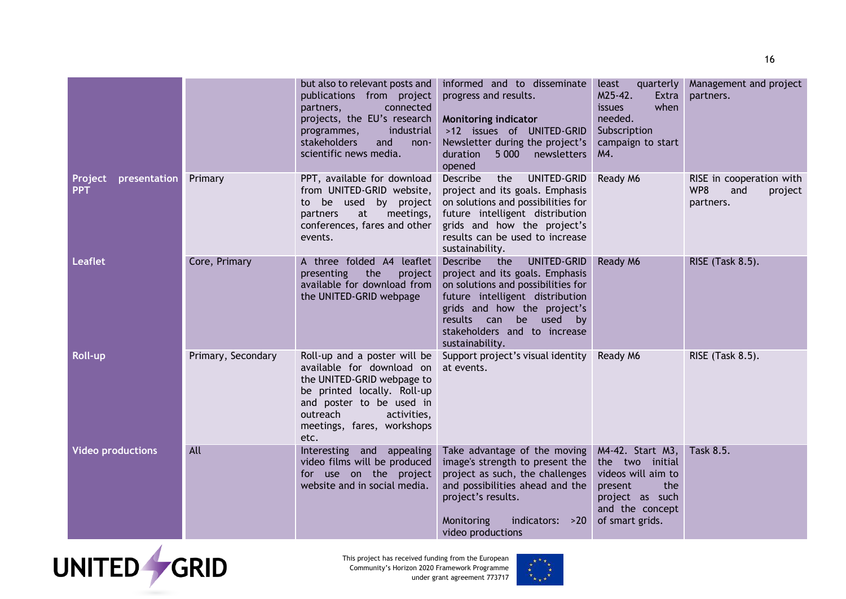|                                       |                    | but also to relevant posts and<br>publications from project<br>connected<br>partners,<br>projects, the EU's research<br>industrial<br>programmes,                                                                   | informed and to disseminate<br>progress and results.<br>Monitoring indicator<br>>12 issues of UNITED-GRID                                                                                                                                                     | least<br>quarterly<br>M25-42.<br>Extra<br>when<br><i>issues</i><br>needed.<br>Subscription                                           | Management and project<br>partners.                            |
|---------------------------------------|--------------------|---------------------------------------------------------------------------------------------------------------------------------------------------------------------------------------------------------------------|---------------------------------------------------------------------------------------------------------------------------------------------------------------------------------------------------------------------------------------------------------------|--------------------------------------------------------------------------------------------------------------------------------------|----------------------------------------------------------------|
|                                       |                    | stakeholders<br>and<br>$non-$<br>scientific news media.                                                                                                                                                             | Newsletter during the project's<br>duration<br>5 000 newsletters<br>opened                                                                                                                                                                                    | campaign to start<br>M4.                                                                                                             |                                                                |
| presentation<br>Project<br><b>PPT</b> | Primary            | PPT, available for download<br>from UNITED-GRID website,<br>to<br>meetings,<br>partners<br>at<br>conferences, fares and other<br>events.                                                                            | Describe<br>the<br>UNITED-GRID<br>project and its goals. Emphasis<br>be used by project on solutions and possibilities for<br>future intelligent distribution<br>grids and how the project's<br>results can be used to increase<br>sustainability.            | Ready M6                                                                                                                             | RISE in cooperation with<br>WP8<br>and<br>project<br>partners. |
| <b>Leaflet</b>                        | Core, Primary      | A three folded A4 leaflet<br>presenting<br>the<br>project<br>available for download from<br>the UNITED-GRID webpage                                                                                                 | <b>Describe</b><br>the<br>UNITED-GRID<br>project and its goals. Emphasis<br>on solutions and possibilities for<br>future intelligent distribution<br>grids and how the project's<br>results can be used by<br>stakeholders and to increase<br>sustainability. | Ready M6                                                                                                                             | RISE (Task 8.5).                                               |
| Roll-up                               | Primary, Secondary | Roll-up and a poster will be<br>available for download on<br>the UNITED-GRID webpage to<br>be printed locally. Roll-up<br>and poster to be used in<br>outreach<br>activities,<br>meetings, fares, workshops<br>etc. | Support project's visual identity<br>at events.                                                                                                                                                                                                               | Ready M6                                                                                                                             | RISE (Task 8.5).                                               |
| <b>Video productions</b>              | All                | Interesting and appealing<br>video films will be produced<br>for use on the project<br>website and in social media.                                                                                                 | Take advantage of the moving<br>image's strength to present the<br>project as such, the challenges<br>and possibilities ahead and the<br>project's results.<br>indicators: >20<br>Monitoring<br>video productions                                             | M4-42. Start M3,<br>the two initial<br>videos will aim to<br>present<br>the<br>project as such<br>and the concept<br>of smart grids. | Task 8.5.                                                      |



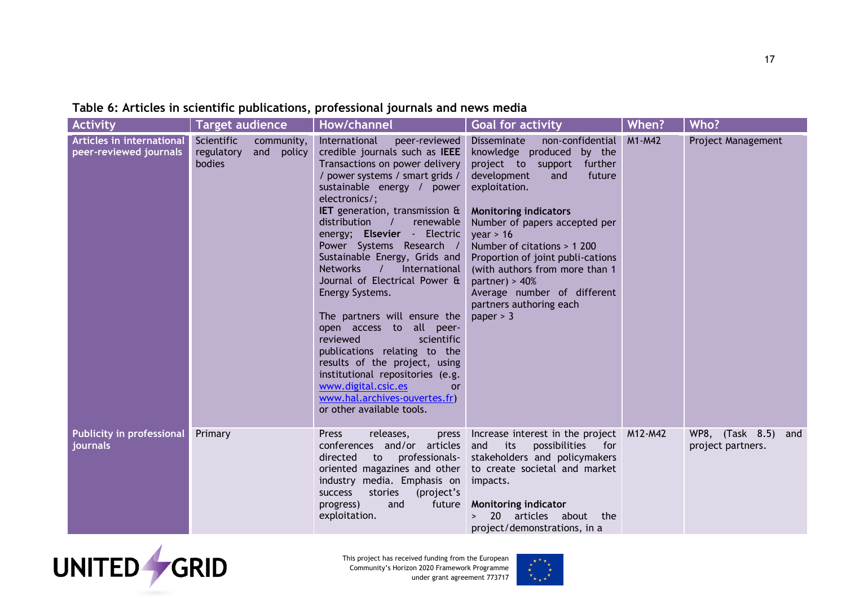## **Table 6: Articles in scientific publications, professional journals and news media**

| <b>Activity</b>                                     | <b>Target audience</b>                                            | <b>How/channel</b>                                                                                                                                                                                                                                                                                                                                                                                                                                                                                                                                                                                                                                                                                                                                 | <b>Goal for activity</b>                                                                                                                                                                                                                                                                                                                                                                                                        | When?    | Who?                                     |
|-----------------------------------------------------|-------------------------------------------------------------------|----------------------------------------------------------------------------------------------------------------------------------------------------------------------------------------------------------------------------------------------------------------------------------------------------------------------------------------------------------------------------------------------------------------------------------------------------------------------------------------------------------------------------------------------------------------------------------------------------------------------------------------------------------------------------------------------------------------------------------------------------|---------------------------------------------------------------------------------------------------------------------------------------------------------------------------------------------------------------------------------------------------------------------------------------------------------------------------------------------------------------------------------------------------------------------------------|----------|------------------------------------------|
| Articles in international<br>peer-reviewed journals | Scientific<br>community,<br>and<br>regulatory<br>policy<br>bodies | International<br>peer-reviewed<br>credible journals such as IEEE<br>Transactions on power delivery<br>/ power systems / smart grids /<br>sustainable energy / power<br>electronics/;<br>IET generation, transmission &<br>distribution<br>renewable<br>$\sqrt{ }$<br>energy; Elsevier - Electric<br>Power Systems Research /<br>Sustainable Energy, Grids and<br><b>Networks</b><br>International<br>Journal of Electrical Power &<br>Energy Systems.<br>The partners will ensure the<br>open access to all peer-<br>scientific<br>reviewed<br>publications relating to the<br>results of the project, using<br>institutional repositories (e.g.<br>www.digital.csic.es<br><b>or</b><br>www.hal.archives-ouvertes.fr)<br>or other available tools. | non-confidential<br>Disseminate<br>knowledge produced<br>by the<br>project to support further<br>development<br>future<br>and<br>exploitation.<br><b>Monitoring indicators</b><br>Number of papers accepted per<br>year > 16<br>Number of citations > 1 200<br>Proportion of joint publi-cations<br>(with authors from more than 1<br>partner) > $40%$<br>Average number of different<br>partners authoring each<br>paper $>$ 3 | $M1-M42$ | Project Management                       |
| <b>Publicity in professional</b><br>journals        | Primary                                                           | <b>Press</b><br>releases,<br>press<br>conferences and/or articles<br>professionals-<br>directed<br>to<br>oriented magazines and other<br>industry media. Emphasis on<br>stories<br>(project's<br><b>SUCCESS</b><br>progress)<br>and<br>future<br>exploitation.                                                                                                                                                                                                                                                                                                                                                                                                                                                                                     | Increase interest in the project M12-M42<br>possibilities<br>and<br>its<br>for<br>stakeholders and policymakers<br>to create societal and market<br>impacts.<br><b>Monitoring indicator</b><br>articles about the<br><b>20</b><br>project/demonstrations, in a                                                                                                                                                                  |          | WP8, (Task 8.5) and<br>project partners. |



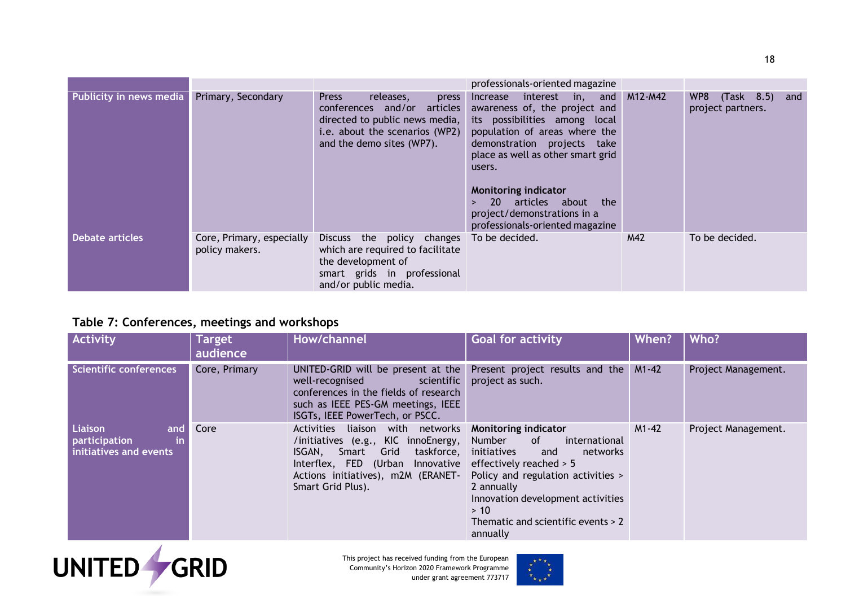|                         |                                             |                                                                                                                                                                    | professionals-oriented magazine                                                                                                                                                                                                                                                                                                                                             |         |                                               |
|-------------------------|---------------------------------------------|--------------------------------------------------------------------------------------------------------------------------------------------------------------------|-----------------------------------------------------------------------------------------------------------------------------------------------------------------------------------------------------------------------------------------------------------------------------------------------------------------------------------------------------------------------------|---------|-----------------------------------------------|
| Publicity in news media | Primary, Secondary                          | <b>Press</b><br>releases,<br>press<br>conferences and/or articles<br>directed to public news media,<br>i.e. about the scenarios (WP2)<br>and the demo sites (WP7). | interest<br><i>Increase</i><br>in,<br>and<br>awareness of, the project and<br>its possibilities among local<br>population of areas where the<br>demonstration projects take<br>place as well as other smart grid<br>users.<br><b>Monitoring indicator</b><br><b>20</b><br>articles about<br>the<br>$\geq$<br>project/demonstrations in a<br>professionals-oriented magazine | M12-M42 | (Task 8.5)<br>WP8<br>and<br>project partners. |
| <b>Debate articles</b>  | Core, Primary, especially<br>policy makers. | the policy changes<br><b>Discuss</b><br>which are required to facilitate<br>the development of<br>smart grids in professional<br>and/or public media.              | To be decided.                                                                                                                                                                                                                                                                                                                                                              | M42     | To be decided.                                |

## **Table 7: Conferences, meetings and workshops**

| <b>Activity</b>                                                 | Target<br>audience | How/channel                                                                                                                                                                                                     | <b>Goal for activity</b>                                                                                                                                                                                                                                                | When?     | Who?                |
|-----------------------------------------------------------------|--------------------|-----------------------------------------------------------------------------------------------------------------------------------------------------------------------------------------------------------------|-------------------------------------------------------------------------------------------------------------------------------------------------------------------------------------------------------------------------------------------------------------------------|-----------|---------------------|
| <b>Scientific conferences</b>                                   | Core, Primary      | UNITED-GRID will be present at the<br>well-recognised<br>scientific<br>conferences in the fields of research<br>such as IEEE PES-GM meetings, IEEE<br>ISGTs, IEEE PowerTech, or PSCC.                           | Present project results and the M1-42<br>project as such.                                                                                                                                                                                                               |           | Project Management. |
| Liaison<br>and<br>in<br>participation<br>initiatives and events | Core               | liaison with networks<br>Activities<br>/initiatives (e.g., KIC innoEnergy,<br>ISGAN,<br>Smart Grid<br>taskforce,<br>Interflex, FED (Urban Innovative<br>Actions initiatives), m2M (ERANET-<br>Smart Grid Plus). | Monitoring indicator<br>0f<br>Number<br>international<br>initiatives<br>networks<br>and<br>effectively reached $> 5$<br>Policy and regulation activities ><br>2 annually<br>Innovation development activities<br>> 10<br>Thematic and scientific events > 2<br>annually | $M1 - 42$ | Project Management. |